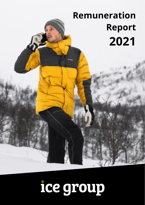# **Remuneration Report 2021**

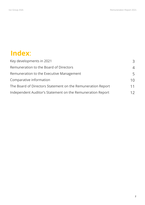## **Index**:

| Key developments in 2021                                    | 3              |
|-------------------------------------------------------------|----------------|
| Remuneration to the Board of Directors                      | $\overline{4}$ |
| Remuneration to the Executive Management                    | 5              |
| Comparative information                                     | 1 <sub>0</sub> |
| The Board of Directors Statement on the Remuneration Report | 11             |
| Independent Auditor's Statement on the Remuneration Report  | 12             |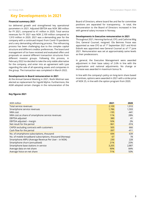## **Key Developments in 2021**

#### **Financial summary 2021**

Ice delivered growth and strengthened key operational parameters in 2021. Adjusted EBITDA was NOK 380 million for FY 2021, compared to 41 million in 2020. Total service revenues for FY 2021 was NOK 2,109 million compared to 1,910 million in 2020. 2021 was a demanding year for the company with a continued impact from Covid-19 pandemic and a very demanding refinancing process. The refinancing process has been challenging due to the complex capital structure and different creditor preferences. The board and management of Ice have received and evaluated offers and proposals on several different transaction structures from different investor groups. Following this process, in February 2022 Ice decided to take the only viable alternative for the company, and enter into an agreement with Lyse regarding the sale of all operating assets and companies in the group. The transaction was completed in March 2022.

#### **Developments in Board remuneration in 2021**

At the Annual General Meeting in 2021, Roshi Motman was elected as replacement for Ingvild Myhre. Furthermore, the AGM adopted certain changes in the remuneration of the

**Key figures 2021**

Board of Directors, where board fee and fee for committee positions are separated for transparency. In total, the remuneration to the Board of Directors increased in line with general salary increase in Norway.

#### **Developments in Executive remuneration in 2021**

Throughout 2021, Henning Karlsrud, CFO, and Cathrine Wiig Ore, General Counsel, resigned. Ola Beinnes Fosse was appointed as new CFO as of 1st September 2021 and Kirsti Eidsvik was appointed new General Counsel as of 1st June 2021. Remuneration was set at approximately same levels as their predecessors.

In general, the Executive Management were awarded adjustment in their base salary of 2.6% in line with the organisation and national adjustments. No change or increase was awarded in maximum bonus %.

In line with the company's policy on long-term share based incentives, options were awarded in 2021 with a strike price of NOK 25, in line with the option program from 2020.

| <b>NOK</b> million                                       | 2021   | 2020  |
|----------------------------------------------------------|--------|-------|
| Total service revenues                                   | 2,109  | 1,910 |
| Smartphone service revenues                              | 1,786  | 1,593 |
| NRA cost                                                 | $-195$ | -441  |
| NRA cost as share of smartphone service revenues         | 11%    | 28%   |
| <b>EBITDA</b> adjusted                                   | 380    | 41    |
| EBITDA adjusted - margin                                 | 16%    | 2%    |
| Net result for the period                                | $-961$ | -974  |
| CAPEX excluding contracts with customers                 | 505    | 666   |
| Cash flow for the period                                 | $-397$ | -411  |
| No. of smartphone subscriptions, thousand                | 694    | 639   |
| No. of mobile broadband subscriptions, thousand (Norway) | 67     | 78    |
| Smartphone ARPU (Average Revenue Per User - in NOK)      | 230    | 228   |
| Smartphone churn (annualised)                            | 21%    | 25%   |
| Smartphone base stations in service                      | 3,205  | 2,887 |
| Average data on-net share                                | 90%    | 84%   |
| Average Voice on-net share                               | 71%    | 50%   |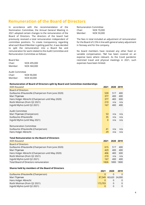## **Remuneration of the Board of Directors**

In accordance with the recommendation of the Nomination Committee, the Annual General Meeting in 2021 adopted certain changes to the remuneration of the Board of Directors. The directors of the board had previously received a total remuneration independent of committee positions. To create transparency regarding what each Board Member is getting paid for, it was decided to split the remuneration into a Board fee and remuneration for work related to the Audit Committee and Remuneration Committee as follows:

Board fee: Chair: NOK 495,000

Member: NOK 360,000

Audit Committee

Chair: NOK 90,000 Member: NOK 60,000

| Remuneration Committee |                   |
|------------------------|-------------------|
| Chair:                 | NOK 70,000        |
| Member:                | <b>NOK 50,000</b> |

The fees in total included an adjustment of remuneration for the Board of 2.5% in line with general salary adjustment in Norway and for the company.

No board members have received any other fixed or variable compensation, T&E has been covered on an expense basis where relevant. As the Covid pandemic restricted travel and physical meetings in 2021, such expenses have been limited.

#### **Remuneration of Board of Directors split by Board and Committee memberships**

| NOK thousand                                        | 2021     |     | 2020 2019 |
|-----------------------------------------------------|----------|-----|-----------|
| <b>Board of Directors</b>                           |          |     |           |
| Guillaume d'Hauteville (Chairperson from June 2020) | 539      | 517 | 400       |
| Mari Thjømøe                                        | 377      | 400 | 400       |
| Hans Holger Albrecht (Chairperson until May 2020)   | 377      | 483 | 600       |
| Roshi Motman (from Q2 2021)                         | 210      | n/a | n/a       |
| Ingvild Myhre (until Q2 2021)                       | 167      | 400 | 400       |
| Audit Committee                                     |          |     |           |
| Mari Thjømøe (Chairperson)                          | 53       | n/a | n/a       |
| Guillaume d'Hauteville                              | 35       | n/a | n/a       |
| Ingvild Myhre (until May 2021)                      | $\Omega$ | n/a | n/a       |
| <b>Remuneration Committee</b>                       |          |     |           |
| Guillaume d'Hauteville (Chairperson)                | 41       | n/a | n/a       |
| Hans Holger Albrecht                                | 29       | n/a | n/a       |
| <b>Total Remuneration to the Board of Directors</b> |          |     |           |

| NOK thousand                                        | 2021 | 2020 2019 |      |
|-----------------------------------------------------|------|-----------|------|
| Board of Directors                                  |      |           |      |
| Guillaume d'Hauteville (Chairperson from June 2020) | 615  | 517       | 400  |
| Mari Thjømøe                                        | 429  | 400       | 400  |
| Hans Holger Albrecht (Chairperson until May 2020)   | 406  | 483       | 600  |
| Roshi Motman (from Q2 2021)                         | 210  | n/a       | n/a  |
| Ingvild Myhre (until Q2 2021)                       | 167  | 400       | 400  |
| Total Board of Directors remuneration               | 1826 | 800       | 1800 |

#### **Shares held by members of the Board of Directors**

|                                      | 2021    | 2020                 | 2019     |
|--------------------------------------|---------|----------------------|----------|
| Guillaume d'Hauteville (Chairperson) |         |                      |          |
| Mari Thjømøe                         |         | 87,549 60,620 24,000 |          |
| Hans Holger Albrecht                 |         |                      |          |
| Roshi Motman (from Q2 2021)          | 173,703 |                      | $\Omega$ |
| Ingvild Myhre (until Q2 2021)        |         |                      |          |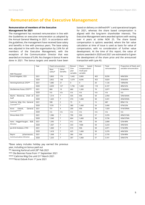## **Remuneration of the Executive Management**

#### **Remuneration of members of the Executive Management for 2021**

The management has received remuneration in line with the Guidelines on executive remuneration as adopted by the Annual General Meeting in 2021. In accordance with the guidelines, the management have received base salary and benefits in line with previous years. The base salary was adjusted in line with the organisation by 2.6% for all members of the Executive Management, with the exception of the Communication Director that was awarded an increase of 5.6%. No changes in bonus % were done in 2021. The bonus targets and awards have been based on delivery on defined KPI´s and operational targets for 2021, whereas the share based compensation is aligned with the long-term shareholder interests. The Executive Management were awarded options with vesting over 4 years at strike NOK 25. The share based compensation is options awarded, where the fair value calculation at time of issue is used as basis for value of compensation, with no consideration of further value development. At the time of this report, the value of options awarded in 2020 and 2021 are estimated to 0 given the development of the share price and the announced transaction with Lyse AS.

|                               | Year | Fixed remuneration |                   | Bonus/                   | Share<br>based                          | Pension | Total        | Proportion of fixed, and |
|-------------------------------|------|--------------------|-------------------|--------------------------|-----------------------------------------|---------|--------------|--------------------------|
| <b>NOK Thousand</b>           |      | Base<br>salary*    | Other<br>benefits | One-<br>year<br>variable | compensation/<br>mulit-year<br>variable |         | remuneration | variable remuneration    |
| Eivind Helgaker, CEO          | 2021 | 2,863              | 176               | 1,642                    | 2,860                                   | 463     | 8.036        | 44%/56%                  |
|                               | 2020 | 2,852              | 148               | 1,679                    | 4,696                                   | 453     | 9,829        | 35%/65%                  |
| Henning Karlsrud, CFO**       | 2021 | 1,085              | 21                | $\mathbf 0$              | $\Omega$                                | 20      | 1,126        | 100%/0%                  |
|                               | 2020 | 2,659              | 127               | 1,736                    | 1,468                                   | 118     | 6,107        | 48%/52%                  |
| Ola Beinnes Fosse, CFO***     | 2021 | 800                | 19                | 680                      | 1,300                                   | 79      | 2,877        | 31%69%%                  |
|                               | 2020 | n/a                | n/a               | n/a                      | n/a                                     | n/a     | n/a          | n/a                      |
| Martin Westersø, Chief of     | 2021 | 1,514              | $\overline{7}$    | 435                      | 936                                     | 58      | 2,950        | 54%/56%%                 |
| Staff                         | 2020 | 1,425              | $\overline{7}$    | 374                      | 1,468                                   | 58      | 3,331        | 45%/55%%                 |
| Cathrine Wiig Ore, General    | 2021 | 598                | $\overline{2}$    | 73                       | $\mathbf 0$                             | 15      | 687          | 89%/11%                  |
| Counsel****                   | 2020 | 1578               | $\overline{7}$    | 380                      | 1,468                                   | 59      | 3,490        | 47%/53%                  |
| Eidsvik.<br>Kirsti<br>General | 2021 | 731                | $\overline{4}$    | 200                      | 936                                     | 58      | 1,929        | 41%/59%%                 |
| Counsel*****                  | 2020 | n/a                | n/a               | n/a                      | n/a                                     | n/a     | n/a          | n/a                      |
| Shiraz Abid, CCO              | 2021 | 1.586              | $\overline{7}$    | 790                      | 936                                     | 57      | 3,376        | 49%/51%%                 |
|                               | 2020 | 1,540              | $\overline{7}$    | 664                      | 1,468                                   | 58      | 3,736        | 43%/57%%                 |
| Hans Heggenhaugen, B2B        | 2021 | 1,395              | $\overline{7}$    | 412                      | 936                                     | 58      | 2,808        | 52%/48%                  |
| Director                      | 2020 | 1,367              | $\overline{7}$    | 333                      | 1468                                    | 58      | 3,233        | 44%/56%                  |
| Jan-Erik Hvidsten, CTIO       | 2021 | 1,460              | $\overline{7}$    | 510                      | 936                                     | 58      | 2,971        | 51%/49%                  |
|                               | 2020 | 1,418              | $\overline{7}$    | 425                      | 1,468                                   | 58      | 3,376        | 44%/56%                  |
| Reynir<br>Johannesson,        | 2021 | 1,368              | $\overline{7}$    | 366                      | 936                                     | 57      | 2,735        | 52%/48%                  |
| <b>Communication Director</b> | 2020 | 1,263              | $\overline{7}$    | 307                      | 1,468                                   | 57      | 3,101        | 43%/57%                  |

\*Base salary includes holiday pay earned the previous year, including on bonus paid out

\*\* Henning Karlsrud until 28th Feb 2021

\*\*\* Ola Beinnes Fosse from 1st September 2021

\*\*\*\* Cathrine Wiig Ore until 31<sup>st</sup> March 2021

\*\*\*\*\*Kirsti Eidsvik from 1 st June 2021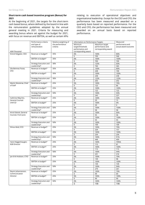#### **Short-term cash based incentive program (Bonus) for 2021**

At the beginning of 2021, the targets for the short-term cash based bonus, where defined by the board in line with the remuneration guidelines adopted by the annual general meeting in 2021. Criteria for measuring and awarding bonus where set against the budget for 2021, with focus on revenue and EBITDA, as well as certain KPIs

relating to execution of operational objectives and organisational leadership. Except for the CEO and CFO, the performance has been measured and awarded on a quarterly basis based on reported performance. For the CEO and CFO, the performance has been measured and awarded on an annual basis based on reported performance.

|                                           | Performance criteria          | Relative weighting of | Information on Performance Targets |                     | Measured             |
|-------------------------------------------|-------------------------------|-----------------------|------------------------------------|---------------------|----------------------|
|                                           | and type of                   | the performance       | Minimum                            | Maximum target      | performance and      |
|                                           | remuneration                  | criteria              | target/threshold                   | performance and     | actual award outcome |
|                                           |                               |                       | performance and                    | corresponding award |                      |
| <b>NOK Thousand</b>                       |                               |                       | corresponding award                |                     |                      |
| Eivind Helgaker, CEO                      | Revenue vs budget*            | 35%                   | 0%                                 | 100%                | 80%                  |
|                                           |                               |                       | $\mathbf 0$                        | 709                 | 568                  |
|                                           | EBITDA vs budget*             | 35%                   | 0%                                 | 100%                | 100%                 |
|                                           |                               |                       | $\mathsf{O}\xspace$                | 709                 | 709                  |
|                                           | <b>Strategy Execution and</b> | 30%                   | 0%                                 | 125%                | 60%                  |
|                                           | Leadership*                   |                       | $\mathsf{O}\xspace$                | 760                 | 365                  |
| Ola Beinnes Fosse,                        | Revenue vs budget*            | 35%                   | 0%                                 | 100%                | 80%                  |
| CFO                                       |                               |                       | $\mathbf 0$                        | 238                 | 190                  |
|                                           | EBITDA vs budget*             | 35%                   | 0%                                 | 100%                | 100%                 |
|                                           |                               |                       | $\mathbf 0$                        | 238                 | 238                  |
|                                           | <b>Strategy Execution and</b> | 30%                   | 0%                                 | 125%                | 125%                 |
|                                           | Leadership*                   |                       | $\mathsf{O}\xspace$                | 255                 | 252                  |
| Martin Westersø, Chief                    | Revenue vs budget*            | 25%                   | 0%                                 | 100%                | 70%                  |
| of Staff                                  |                               |                       | $\mathbf 0$                        | 122                 | 86                   |
|                                           | EBITDA vs budget*             | 25%                   | 0%                                 | 100%                | 100%                 |
|                                           |                               |                       | $\mathbf 0$                        | 122                 | 122                  |
|                                           | <b>Strategy Execution and</b> | 50%                   | 0%                                 | 100%                | 93%                  |
|                                           | Leadership*                   |                       | $\mathsf{O}\xspace$                | 245                 | 227                  |
| Cathrine Wiig Ore,                        | Revenue vs budget*            | 25%                   | 0%                                 | 100%                | 50%                  |
| General Counsel                           |                               |                       | $\mathsf 0$                        | 29                  | 15                   |
| Until Q1                                  | EBITDA vs budget*             | 25%                   | 0%                                 | 100%                | 0%                   |
|                                           |                               |                       | $\mathsf{O}\xspace$                | 29                  | $\mathbf 0$          |
|                                           | Strategy Execution and        | 50%                   | 0%                                 | 100%                | 100%                 |
|                                           | Leadership*                   |                       | $\mathsf{O}\xspace$                | 58                  | 58                   |
| Kirsti Eidsvik, General                   | Revenue vs budget*            | 25%                   | 0%                                 | 100%                | 66%                  |
| Counsel, From June                        |                               | 25%<br>50%            | $\mathbf 0$                        | 55                  | 36                   |
|                                           | EBITDA vs budget*             |                       | 0%                                 | 100%                | 100%                 |
|                                           |                               |                       | $\mathsf 0$                        | 55                  | 55                   |
|                                           | <b>Strategy Execution and</b> |                       | 0%                                 | 100%                | 100%                 |
|                                           | Leadership*                   |                       | $\mathbf 0$                        | 109                 | 109                  |
| Shiraz Abid, CCO                          | Revenue vs budget*            | 25%                   | 0%                                 | 100%                | 70%                  |
|                                           |                               |                       | $\mathbf 0$                        | 224                 | 157                  |
|                                           | EBITDA vs budget*             | 25%                   | 0%                                 | 100%                | 100%                 |
|                                           |                               |                       | $\mathsf 0$                        | 234                 | 234                  |
|                                           | <b>Strategy Execution and</b> | 50%                   | 0%                                 | 100%                | 91%                  |
|                                           | Leadership*                   |                       | $\mathsf 0$                        | 448                 | 409                  |
|                                           | Revenue vs budget*            | 25%                   | 0%                                 | 100%                | 70%%                 |
| Hans Heggenhaugen,<br><b>B2B Director</b> |                               |                       | $\mathsf 0$                        | 115                 | 81                   |
|                                           |                               |                       |                                    |                     |                      |
|                                           | EBITDA vs budget*             | 25%                   | 0%<br>$\mathsf 0$                  | 100%                | 100%                 |
|                                           | <b>Strategy Execution and</b> |                       | 0%                                 | 115                 | 115                  |
|                                           |                               | 50%                   |                                    | 100%                | 94%                  |
|                                           | Leadership*                   |                       | $\mathbf 0$                        | 231                 | 216                  |
| Jan-Erik Hvidsten, CTIO                   | Revenue vs budget*            | 25%                   | 0%                                 | 100%                | 70%                  |
|                                           |                               |                       | 0                                  | 139                 | 98                   |
|                                           | EBITDA vs budget*             | 25%                   | 0%                                 | 100%                | 100%                 |
|                                           |                               |                       | $\mathsf 0$                        | 139                 | 139                  |
|                                           | Strategy Execution and        | 50%                   | 0%                                 | 100%                | 94%                  |
|                                           | Leadership*                   |                       | $\mathbf 0$                        | 279                 | 261                  |
| Reynir Johannesson,                       | Revenue vs budget*            | 25%                   | 0%                                 | 100%                | 70%                  |
| Communication                             |                               |                       | $\mathbf 0$                        | 99                  | 69                   |
| Director                                  | EBITDA vs budget*             | 25%                   | 0%                                 | 100%                | 100%                 |
|                                           |                               |                       | $\mathsf 0$                        | 99                  | 99                   |
|                                           | <b>Strategy Execution and</b> | 50%                   | 0%                                 | 100%                | 100%                 |
|                                           | Leadership*                   |                       | $\mathsf 0$                        | 198                 | 198                  |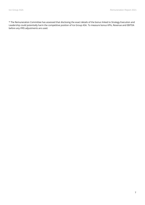\* The Remuneration Committee has assessed that disclosing the exact details of the bonus linked to Strategy Execution and Leadership could potentially harm the competitive position of Ice Group ASA. To measure bonus KPIs, Revenue and EBITDA before any IFRS adjustments are used.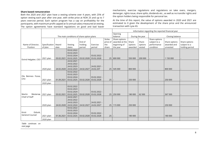#### **Share based remuneration**

Both the 2020 and 2021 plan have a vesting scheme over 4 years, with 25% of option vesting each year after one year, with strike price at NOK 25 and up to 7 years exercise period. Each option program has a cap on profitability for the participants, with maximum profit capped at 5x annual salary measured at vesting. The option agreements have standard regulations on good and bad leaver mechanisms, exercise regulations and regulations on take overs, mergers, demerger, rights issue, share splits, dividends etc., as well as no transfer rights and the option holders being responsible for personal tax.

At the time of this report, the value of options awarded in 2020 and 2021 are estimated to 0 given the development of the share price and the announced transaction with Lyse AS.

|                        |                                           |            |            |            |              | Information regarding the reported financial year |                |         |                 |                 |               |                |
|------------------------|-------------------------------------------|------------|------------|------------|--------------|---------------------------------------------------|----------------|---------|-----------------|-----------------|---------------|----------------|
|                        |                                           |            |            |            |              |                                                   | Opening        |         |                 |                 |               |                |
|                        | The main conditions of share option plans |            |            |            |              |                                                   | balance        |         | During the year | Closing balance |               |                |
|                        |                                           |            |            |            |              | Strike                                            | Share options  |         |                 | Share options   |               |                |
|                        |                                           |            |            | End of     |              | price of                                          | awarded at the | Share   | Share           | subject to a    | Share options | Share options  |
| Name of Director,      | Specification   Award                     |            | Vesting    | holding    | Exercise     | the                                               | beginning of   | options | options         | performance     | awarded and   | subject to a   |
| Position               | of plan                                   | date       | dates      | period     | period       | share                                             | the year       | awarded | vested          | condition       | unvested      | holding period |
|                        |                                           |            | 03.02.2022 |            |              |                                                   |                |         |                 |                 |               |                |
|                        |                                           |            | 03.02.2023 |            |              |                                                   |                |         |                 |                 |               |                |
|                        |                                           |            | 03.02.2024 |            | 03.02.2022 - |                                                   |                |         |                 |                 |               |                |
| Eivind Helgaker, CEO   | 2021 plan                                 | 03.02.2021 | 03.02.2025 | 03.02.2028 | 03.02.2028   | 25                                                | 800 000        | 550 000 | 200 000         |                 | 1 150 000     |                |
|                        |                                           |            | 24.02.2021 |            |              |                                                   |                |         |                 |                 |               |                |
|                        |                                           |            | 24.02.2022 |            |              |                                                   |                |         |                 |                 |               |                |
|                        |                                           |            | 24.02.2023 |            | 24.02.2021 - |                                                   |                |         |                 |                 |               |                |
|                        | 2020 plan                                 | 24.02.2020 | 24.02.2024 | 24.02.2027 | 24.02.207    | 25                                                | 545 000        | 800 000 |                 |                 | 800 000       |                |
|                        |                                           |            | 03.02.2022 |            |              |                                                   |                |         |                 |                 |               |                |
| Ola Beinnes Fosse,     |                                           |            | 03.02.2023 |            |              |                                                   |                |         |                 |                 |               |                |
| <b>CFO</b>             |                                           |            | 03.02.2024 |            | 03.02.2022 - |                                                   |                |         |                 |                 |               |                |
|                        | 2021 plan                                 | 01.09.2021 | 03.02.2025 | 03.02.2028 | 03.02.2028   | 25                                                |                | 250 000 |                 |                 | 250 000       |                |
|                        | 2020 plan                                 |            |            |            |              |                                                   |                |         |                 |                 |               |                |
|                        |                                           |            | 03.02.2022 |            |              |                                                   |                |         |                 |                 |               |                |
|                        |                                           |            | 03.02.2023 |            |              |                                                   |                |         |                 |                 |               |                |
|                        |                                           |            | 03.02.2024 |            | 03.02.2022 - |                                                   |                |         |                 |                 |               |                |
| Westersø,<br>Martin    | 2021 plan                                 | 03.02.2021 | 03.02.2025 | 03.02.2028 | 03.02.2028   |                                                   | 25 250 000     | 180 000 | 62 500          |                 | 367 500       |                |
| Chief of Staff         |                                           |            | 24.02.2021 |            |              |                                                   |                |         |                 |                 |               |                |
|                        |                                           |            | 24.02.2022 |            |              |                                                   |                |         |                 |                 |               |                |
|                        |                                           |            | 24.02.2023 |            | 24.02.2021 - |                                                   |                |         |                 |                 |               |                |
|                        | 2020 plan                                 | 24.02.2020 | 24.02.2024 | 24.02.2027 | 24.02.2027   |                                                   | 25 115 000     | 250 000 |                 |                 | 250 000       |                |
|                        |                                           |            | 03.02.2022 |            |              |                                                   |                |         |                 |                 |               |                |
| Eidsvik,<br>Kirsti     |                                           |            | 03.02.2023 |            |              |                                                   |                |         |                 |                 |               |                |
| <b>General Counsel</b> |                                           |            | 03.02.2024 |            | 03.02.2022 - |                                                   |                |         |                 |                 |               |                |
|                        | 2021 plan                                 | 01.06.2021 | 03.02.2025 | 03.02.2028 | 03.02.2028   | 25                                                |                | 180 000 |                 |                 | 180 000       |                |
|                        | 2020 plan                                 |            |            |            |              |                                                   |                |         |                 |                 |               |                |

*Table continues on* 

*next page*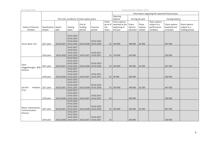| Ice Group ASA |  |  |  |
|---------------|--|--|--|
|               |  |  |  |

Remuneration Report 2021

| Opening<br>balance<br>The main conditions of share option plans<br>Closing balance<br>During the year<br>Strike<br>Share options<br>Share options<br>End of<br>Share<br>Share<br>Share options<br>awarded at the<br>subject to a<br>Share options<br>price of<br>Name of Director,<br>Award<br>performance<br>awarded and<br>subject to a<br>Specification<br>Vesting<br>holding<br>Exercise<br>the<br>beginning of<br>options<br>options<br>date<br>Position<br>of plan<br>condition<br>unvested<br>holding period<br>dates<br>period<br>period<br>share<br>the year<br>awarded<br>vested<br>03.02.2022<br>03.02.2023<br>03.02.2024<br>03.02.2022 -<br>03.02.2025<br>03.02.2028<br>367 500<br>Shiraz Abid, CCO<br>03.02.2028<br>25 250 000<br>180 000<br>62 500<br>2021 plan<br>03.02.2021<br>24.02.2021<br>24.02.2022<br>24.02.2023<br>24.02.2021 -<br>24.02.2024<br>24.02.2027<br>25 150 000<br>250 000<br>2020 plan<br>24.02.2020<br>250 000<br>24.02.2027<br>03.02.2022<br>03.02.2023<br>03.02.2024<br>03.02.2022 -<br>Hans<br>03.02.2028<br>03.02.2025<br>03.02.2028<br>25 250 000<br>62 500<br>367 500<br>2021 plan<br>03.02.2021<br>180 000 |
|-----------------------------------------------------------------------------------------------------------------------------------------------------------------------------------------------------------------------------------------------------------------------------------------------------------------------------------------------------------------------------------------------------------------------------------------------------------------------------------------------------------------------------------------------------------------------------------------------------------------------------------------------------------------------------------------------------------------------------------------------------------------------------------------------------------------------------------------------------------------------------------------------------------------------------------------------------------------------------------------------------------------------------------------------------------------------------------------------------------------------------------------------------|
|                                                                                                                                                                                                                                                                                                                                                                                                                                                                                                                                                                                                                                                                                                                                                                                                                                                                                                                                                                                                                                                                                                                                                     |
|                                                                                                                                                                                                                                                                                                                                                                                                                                                                                                                                                                                                                                                                                                                                                                                                                                                                                                                                                                                                                                                                                                                                                     |
|                                                                                                                                                                                                                                                                                                                                                                                                                                                                                                                                                                                                                                                                                                                                                                                                                                                                                                                                                                                                                                                                                                                                                     |
|                                                                                                                                                                                                                                                                                                                                                                                                                                                                                                                                                                                                                                                                                                                                                                                                                                                                                                                                                                                                                                                                                                                                                     |
|                                                                                                                                                                                                                                                                                                                                                                                                                                                                                                                                                                                                                                                                                                                                                                                                                                                                                                                                                                                                                                                                                                                                                     |
|                                                                                                                                                                                                                                                                                                                                                                                                                                                                                                                                                                                                                                                                                                                                                                                                                                                                                                                                                                                                                                                                                                                                                     |
|                                                                                                                                                                                                                                                                                                                                                                                                                                                                                                                                                                                                                                                                                                                                                                                                                                                                                                                                                                                                                                                                                                                                                     |
|                                                                                                                                                                                                                                                                                                                                                                                                                                                                                                                                                                                                                                                                                                                                                                                                                                                                                                                                                                                                                                                                                                                                                     |
|                                                                                                                                                                                                                                                                                                                                                                                                                                                                                                                                                                                                                                                                                                                                                                                                                                                                                                                                                                                                                                                                                                                                                     |
|                                                                                                                                                                                                                                                                                                                                                                                                                                                                                                                                                                                                                                                                                                                                                                                                                                                                                                                                                                                                                                                                                                                                                     |
|                                                                                                                                                                                                                                                                                                                                                                                                                                                                                                                                                                                                                                                                                                                                                                                                                                                                                                                                                                                                                                                                                                                                                     |
|                                                                                                                                                                                                                                                                                                                                                                                                                                                                                                                                                                                                                                                                                                                                                                                                                                                                                                                                                                                                                                                                                                                                                     |
|                                                                                                                                                                                                                                                                                                                                                                                                                                                                                                                                                                                                                                                                                                                                                                                                                                                                                                                                                                                                                                                                                                                                                     |
|                                                                                                                                                                                                                                                                                                                                                                                                                                                                                                                                                                                                                                                                                                                                                                                                                                                                                                                                                                                                                                                                                                                                                     |
|                                                                                                                                                                                                                                                                                                                                                                                                                                                                                                                                                                                                                                                                                                                                                                                                                                                                                                                                                                                                                                                                                                                                                     |
|                                                                                                                                                                                                                                                                                                                                                                                                                                                                                                                                                                                                                                                                                                                                                                                                                                                                                                                                                                                                                                                                                                                                                     |
|                                                                                                                                                                                                                                                                                                                                                                                                                                                                                                                                                                                                                                                                                                                                                                                                                                                                                                                                                                                                                                                                                                                                                     |
|                                                                                                                                                                                                                                                                                                                                                                                                                                                                                                                                                                                                                                                                                                                                                                                                                                                                                                                                                                                                                                                                                                                                                     |
| Heggenhaugen, B2B                                                                                                                                                                                                                                                                                                                                                                                                                                                                                                                                                                                                                                                                                                                                                                                                                                                                                                                                                                                                                                                                                                                                   |
| 24.02.2021<br>Director                                                                                                                                                                                                                                                                                                                                                                                                                                                                                                                                                                                                                                                                                                                                                                                                                                                                                                                                                                                                                                                                                                                              |
| 24.02.2022                                                                                                                                                                                                                                                                                                                                                                                                                                                                                                                                                                                                                                                                                                                                                                                                                                                                                                                                                                                                                                                                                                                                          |
| 24.02.2023<br>24.02.2021 -                                                                                                                                                                                                                                                                                                                                                                                                                                                                                                                                                                                                                                                                                                                                                                                                                                                                                                                                                                                                                                                                                                                          |
| 24.02.2024<br>24.02.2027<br>2020 plan<br>24.02.2027<br>25 35 000<br>250 000<br>250 000<br>24.02.2020                                                                                                                                                                                                                                                                                                                                                                                                                                                                                                                                                                                                                                                                                                                                                                                                                                                                                                                                                                                                                                                |
| 03.02.2022                                                                                                                                                                                                                                                                                                                                                                                                                                                                                                                                                                                                                                                                                                                                                                                                                                                                                                                                                                                                                                                                                                                                          |
| 03.02.2023                                                                                                                                                                                                                                                                                                                                                                                                                                                                                                                                                                                                                                                                                                                                                                                                                                                                                                                                                                                                                                                                                                                                          |
| 03.02.2024<br>03.02.2022 -                                                                                                                                                                                                                                                                                                                                                                                                                                                                                                                                                                                                                                                                                                                                                                                                                                                                                                                                                                                                                                                                                                                          |
| 03.02.2025<br>Jan-Erik<br>2021 plan<br>03.02.2028<br>25 250 000<br>62 500<br>367 500<br>Hvidsten,<br>03.02.2021<br>03.02.2028<br>180 000                                                                                                                                                                                                                                                                                                                                                                                                                                                                                                                                                                                                                                                                                                                                                                                                                                                                                                                                                                                                            |
| <b>CTIO</b><br>24.02.2021                                                                                                                                                                                                                                                                                                                                                                                                                                                                                                                                                                                                                                                                                                                                                                                                                                                                                                                                                                                                                                                                                                                           |
| 24.02.2022                                                                                                                                                                                                                                                                                                                                                                                                                                                                                                                                                                                                                                                                                                                                                                                                                                                                                                                                                                                                                                                                                                                                          |
| 24.02.2023<br>24.02.2021 -                                                                                                                                                                                                                                                                                                                                                                                                                                                                                                                                                                                                                                                                                                                                                                                                                                                                                                                                                                                                                                                                                                                          |
| 24.02.2024<br>24.02.2027<br>2020 plan<br>24.02.2020<br>24.02.2027<br>25<br>250 000<br>250 000                                                                                                                                                                                                                                                                                                                                                                                                                                                                                                                                                                                                                                                                                                                                                                                                                                                                                                                                                                                                                                                       |
| 03.02.2022                                                                                                                                                                                                                                                                                                                                                                                                                                                                                                                                                                                                                                                                                                                                                                                                                                                                                                                                                                                                                                                                                                                                          |
| 03.02.2023                                                                                                                                                                                                                                                                                                                                                                                                                                                                                                                                                                                                                                                                                                                                                                                                                                                                                                                                                                                                                                                                                                                                          |
| 03.02.2024<br>03.02.2022 -<br>Reynir Johannesson,                                                                                                                                                                                                                                                                                                                                                                                                                                                                                                                                                                                                                                                                                                                                                                                                                                                                                                                                                                                                                                                                                                   |
| 367 500<br>2021 plan<br>03.02.2025<br>03.02.2028<br>03.02.2028<br>25 250 000<br>62 500<br>03.02.2021<br>180 000<br>Communication                                                                                                                                                                                                                                                                                                                                                                                                                                                                                                                                                                                                                                                                                                                                                                                                                                                                                                                                                                                                                    |
| 24.02.2021<br>Director                                                                                                                                                                                                                                                                                                                                                                                                                                                                                                                                                                                                                                                                                                                                                                                                                                                                                                                                                                                                                                                                                                                              |
| 24.02.2022<br>24.02.2023                                                                                                                                                                                                                                                                                                                                                                                                                                                                                                                                                                                                                                                                                                                                                                                                                                                                                                                                                                                                                                                                                                                            |
| 24.02.2021 -<br>24.02.2020 24.02.2024 24.02.2027 24.02.2027<br>2020 plan<br>25<br>250 000<br>250 000                                                                                                                                                                                                                                                                                                                                                                                                                                                                                                                                                                                                                                                                                                                                                                                                                                                                                                                                                                                                                                                |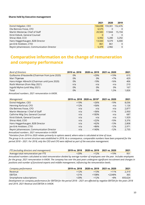#### **Shares held by Executive management**

|                                            | 2021   | 2020                    | 2019     |
|--------------------------------------------|--------|-------------------------|----------|
| Eivind Helgaker, CEO                       |        | 166,698 159,301 152,476 |          |
| Ola Beinnes Fosse, CFO                     | 6.575  | 0                       | 0        |
| Martin Westersø, Chief of Staff            | 20.583 | 17.844                  | 15,194   |
| Kirsti Eidsvik, General Counsel            | 0      | 0                       | $\Omega$ |
| Shiraz Abid, CCO                           | 6.992  | 5,280                   | 3,292    |
| Hans Heggenhaugen, B2B Director            | 13.043 | 9.379                   | 6,000    |
| Jan-Erik Hvidsten, CTIO                    | 861    | 861                     | $\Omega$ |
| Reynir Johannesson, Communication Director | 5.379  | 2.982                   | $\Omega$ |

## **Comparative information on the change of remuneration and company performance**

| <b>Bord of Directors</b>                         | 2019 vs. 2018 | 2020 vs. 2019 | 2021 vs. 2020 | 2021  |
|--------------------------------------------------|---------------|---------------|---------------|-------|
| Guillaume d'Hauteville (Chairman from June 2020) | 0%            | $+29%$        | $+19%$        | 615   |
| Mari Thjømøe                                     | 0%            | 0%            | $+7%$         | 429   |
| Hans-Holger Albrecht (Chairman until June 2020)  | 0%            | $-19%$        | $-16%$        | 406   |
| Roshi Motman (from May 2021)                     | n/a           | n/a           | n/a           | 210   |
| Ingvild Myhre (until May 2021)                   | 0%            | 0%            | 0%            | 167   |
| Total                                            | 0%            | 0%            | 1.5%          | 1.826 |

*Annualized numbers. 2021 remuneration in kNOK.*

| Management                                                                                                                                                                                                                                                                                                                                          |        | 2019 vs. 2018 2020 vs. 2019* | 2021 vs. 2020 | 2021  |
|-----------------------------------------------------------------------------------------------------------------------------------------------------------------------------------------------------------------------------------------------------------------------------------------------------------------------------------------------------|--------|------------------------------|---------------|-------|
| Eivind Helgaker, CEO                                                                                                                                                                                                                                                                                                                                | $+19%$ | $+26%$                       | $-19%$        | 8,036 |
| Henning Karlsrud, CFO                                                                                                                                                                                                                                                                                                                               | $+12%$ | +56%                         | n/a           | 1,126 |
| Ola Beinnes Fosse, CFO                                                                                                                                                                                                                                                                                                                              | n/a    | n/a                          | n/a           | 2,877 |
| Martin Westersø / Chief of Staff                                                                                                                                                                                                                                                                                                                    | n/a    | +36%                         | $-11%$        | 2,950 |
| Cathrine Wiig Ore, General Counsel                                                                                                                                                                                                                                                                                                                  | n/a    | +183%                        | n/a           | 687   |
| Kirsti Eidsvik, General Counsel                                                                                                                                                                                                                                                                                                                     | n/a    | n/a                          | n/a           | 1.929 |
| Shiraz Abid, COO                                                                                                                                                                                                                                                                                                                                    | n/a    | $+22%$                       | $-10%$        | 3,376 |
| Hans Heggenhaugen, B2B Director                                                                                                                                                                                                                                                                                                                     | n/a    | $+62%$                       | $-13%$        | 2,808 |
| Jan-Erik Hvidsten, CTIO                                                                                                                                                                                                                                                                                                                             | n/a    | +86%                         | $-12%$        | 2,971 |
| Reynir Johannesson, Communication Director                                                                                                                                                                                                                                                                                                          | n/a    | $+140%$                      | $-12%$        | 2,735 |
| $\overline{a}$ , $\overline{b}$ , $\overline{c}$ , $\overline{c}$ , $\overline{c}$ , $\overline{c}$ , $\overline{c}$ , $\overline{c}$ , $\overline{c}$ , $\overline{c}$ , $\overline{c}$ , $\overline{c}$ , $\overline{c}$ , $\overline{c}$ , $\overline{c}$ , $\overline{c}$ , $\overline{c}$ , $\overline{c}$ , $\overline{c}$ , $\overline{c}$ , |        |                              |               |       |

*Annualized numbers. 2021 remuneration in kNOK*

*\*Variation from 2019 to 2020 relates primarily to options award, where value is calculated at time of issue.*

*The group in its current structure was established in 2018. As a consequence, comparable numbers have been prepared for the period 2018 – 2021. For 2018, only the CEO and CFO were defined as part of the executive management.*

| FTE (excluding directors and management)                                                                                       | 2019 vs. 2018 | 2020 vs. 2019 | 2021 vs. 2020 | 2021 |
|--------------------------------------------------------------------------------------------------------------------------------|---------------|---------------|---------------|------|
| Average total remuneration per FTE                                                                                             | $+29%$        | $+12%$        | $+19%$        | 951  |
| Annualized numbers calculated as total remuneration divided by average number of employees over the year. Includes employees   |               |               |               |      |
| for the group. 2021 remuneration in kNOK. The company has over the past years undergone significant recruitment and changes in |               |               |               |      |
| positions and number of functional experts and middle management, influencing the remuneration levels.                         |               |               |               |      |

| Company performance      | 2019 vs. 2018 | 2020 vs. 2019 | 2021 vs. 2020 | 2021    |
|--------------------------|---------------|---------------|---------------|---------|
| Revenue                  | $+12%$        | $+1.3%$       | $+11%$        | 2.319   |
| EBITDA                   | $+21%$        | $+108%$       | +2248%        | 365     |
| Smartphone subscriptions | $+29%$        | $+12%$        | $+8%$         | 693.624 |
| __ .__                   | .             |               | ----- - -     |         |

*Development on company performance for EBITDA for the period 2018 – 2021 are affected by negative EBITDA for the years 2018 and 2019. 2021 Revenue and EBITDA in mNOK.*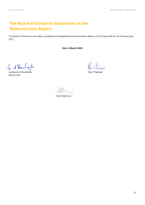## **The Board of Directors Statement on the Remuneration Report**

The Board of Directors has today considered and adopted the Remuneration Report of Ice Group ASA for the financial year 2021.

**Oslo, 8 March 2022**

G. d'Haufeih,

Guillaume d'Hauteville **Mari Thigman Could au Could an Indian Could an Indian Could an Indian Could an Indian Cou** *Board Chair*

Allerí Roman

Roshi Motman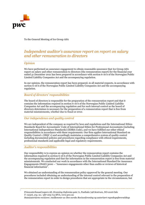

To the General Meeting of Ice Group ASA

## *Independent auditor's assurance report on report on salary and other remuneration to directors*

#### *Opinion*

We have performed an assurance engagement to obtain reasonable assurance that Ice Group ASA report on salary and other remuneration to directors (the remuneration report) for the financial year ended 31 December 2021 has been prepared in accordance with section 6-16 b of the Norwegian Public Limited Liability Companies Act and the accompanying regulation.

In our opinion, the remuneration report has been prepared, in all material respects, in accordance with section 6-16 b of the Norwegian Public Limited Liability Companies Act and the accompanying regulation.

#### *Board of directors' responsibilities*

The board of directors is responsible for the preparation of the remuneration report and that it contains the information required in section 6-16 b of the Norwegian Public Limited Liability Companies Act and the accompanying regulation and for such internal control as the board of directors determines is necessary for the preparation of a remuneration report that is free from material misstatements, whether due to fraud or error.

#### *Our independence and quality control*

We are independent of the company as required by laws and regulations and the International Ethics Standards Board for Accountants' Code of International Ethics for Professional Accountants (including International Independence Standards) (IESBA Code), and we have fulfilled our other ethical responsibilities in accordance with these requirements. Our firm applies International Standard on Quality Control 1 (ISQC 1) and accordingly maintains a comprehensive system of quality control including documented policies and procedures regarding compliance with ethical requirements, professional standards and applicable legal and regulatory requirements.

#### *Auditor's responsibilities*

Our responsibility is to express an opinion on whether the remuneration report contains the information required in section 6-16 b of the Norwegian Public Limited Liability Companies Act and the accompanying regulation and that the information in the remuneration report is free from material misstatements. We conducted our work in accordance with the International Standard for Assurance Engagements (ISAE) 3000 – "Assurance engagements other than audits or reviews of historical financial information".

We obtained an understanding of the remuneration policy approved by the general meeting. Our procedures included obtaining an understanding of the internal control relevant to the preparation of the remuneration report in order to design procedures that are appropriate in the circumstances, but

*PricewaterhouseCoopers AS, Dronning Eufemias gate 71, Postboks 748 Sentrum, NO-0106 Oslo T: 02316, org. no.: 987 009 713 MVA,* www.pwc.no *Statsautoriserte revisorer, medlemmer av Den norske Revisorforening og autorisert regnskapsførerselskap*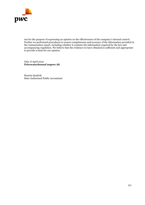

not for the purpose of expressing an opinion on the effectiveness of the company's internal control. Further we performed procedures to ensure completeness and accuracy of the information provided in the remuneration report, including whether it contains the information required by the law and accompanying regulation. We believe that the evidence we have obtained is sufficient and appropriate to provide a basis for our opinion.

Oslo, 8 April 2022 **PricewaterhouseCoopers AS** 

Øystein Sandvik State Authorised Public Accountant